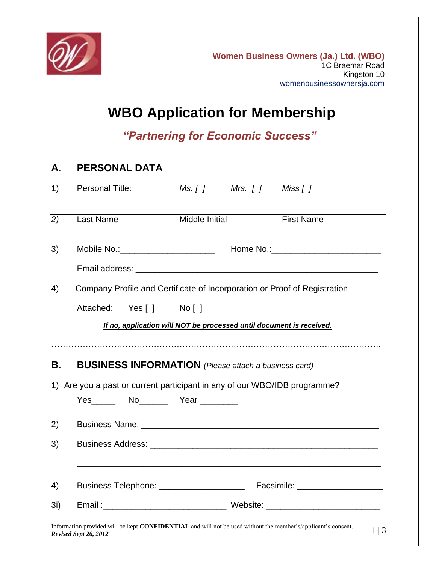

## **WBO Application for Membership**

*"Partnering for Economic Success"*

# **A. PERSONAL DATA** 1) Personal Title: *Ms. [ ] Mrs. [ ] Miss [ ] 2)* Last Name Middle Initial First Name 3) Mobile No.:\_\_\_\_\_\_\_\_\_\_\_\_\_\_\_\_\_\_\_\_ Home No.:\_\_\_\_\_\_\_\_\_\_\_\_\_\_\_\_\_\_\_\_\_\_\_ Email address: \_\_\_\_\_\_\_\_\_\_\_\_\_\_\_\_\_\_\_\_\_\_\_\_\_\_\_\_\_\_\_\_\_\_\_\_\_\_\_\_\_\_\_\_\_\_\_\_\_\_\_ 4) Company Profile and Certificate of Incorporation or Proof of Registration Attached: Yes [ ] No [ ] *If no, application will NOT be processed until document is received.* …………………………………………………………………………………………………….. **B. BUSINESS INFORMATION** *(Please attach a business card)* 1) Are you a past or current participant in any of our WBO/IDB programme? Yes\_\_\_\_\_\_\_ No\_\_\_\_\_\_\_\_ Year \_\_\_\_\_\_\_\_\_ 2) Business Name: \_\_\_\_\_\_\_\_\_\_\_\_\_\_\_\_\_\_\_\_\_\_\_\_\_\_\_\_\_\_\_\_\_\_\_\_\_\_\_\_\_\_\_\_\_\_\_\_\_\_ 3) Business Address: **Example 2018** \_\_\_\_\_\_\_\_\_\_\_\_\_\_\_\_\_\_\_\_\_\_\_\_\_\_\_\_\_\_\_\_\_\_\_\_\_\_\_\_\_\_\_\_\_\_\_\_\_\_\_\_\_\_\_\_\_\_\_\_\_\_\_\_ 4) Business Telephone: \_\_\_\_\_\_\_\_\_\_\_\_\_\_\_\_\_\_ Facsimile: \_\_\_\_\_\_\_\_\_\_\_\_\_\_\_\_\_\_ 3i) Email : exercise experience when website:  $\blacksquare$

Information provided will be kept **CONFIDENTIAL** and will not be used without the member's/applicant's consent. *Revised Sept 26, 2012*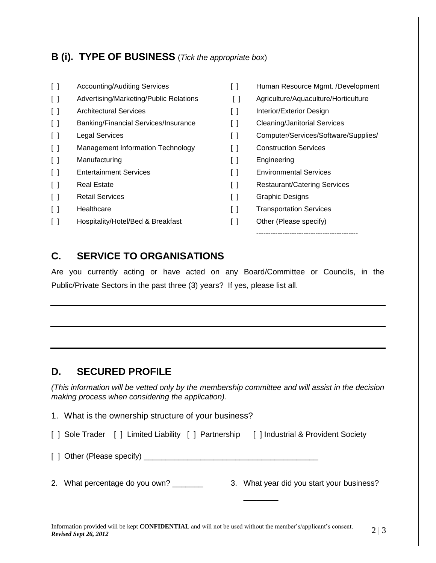### **B (i). TYPE OF BUSINESS** (*Tick the appropriate box*)

| $\begin{bmatrix} \end{bmatrix}$   | <b>Accounting/Auditing Services</b>    | $\lceil$ $\rceil$      | Human Resource Mgmt. /Development    |
|-----------------------------------|----------------------------------------|------------------------|--------------------------------------|
| $\begin{bmatrix} 1 \end{bmatrix}$ | Advertising/Marketing/Public Relations | $\left[ \ \right]$     | Agriculture/Aquaculture/Horticulture |
| $\begin{bmatrix} 1 \end{bmatrix}$ | <b>Architectural Services</b>          | $\left[ \quad \right]$ | Interior/Exterior Design             |
| $\begin{bmatrix} 1 \end{bmatrix}$ | Banking/Financial Services/Insurance   | $\Box$                 | <b>Cleaning/Janitorial Services</b>  |
| $\begin{bmatrix} 1 \end{bmatrix}$ | <b>Legal Services</b>                  | $\lceil$ $\rceil$      | Computer/Services/Software/Supplies/ |
| $\begin{bmatrix} 1 \end{bmatrix}$ | Management Information Technology      | $\left[ \ \right]$     | <b>Construction Services</b>         |
| $\begin{bmatrix} 1 \end{bmatrix}$ | Manufacturing                          | $\left[ \ \right]$     | Engineering                          |
| $\begin{bmatrix} 1 \end{bmatrix}$ | <b>Entertainment Services</b>          | $\left[ \ \right]$     | <b>Environmental Services</b>        |
| $\begin{bmatrix} \end{bmatrix}$   | <b>Real Estate</b>                     | $\left[ \ \right]$     | <b>Restaurant/Catering Services</b>  |
| $\Box$                            | <b>Retail Services</b>                 | $\left[ \ \right]$     | <b>Graphic Designs</b>               |
| $\lceil$ $\rceil$                 | Healthcare                             | $\left[ \quad \right]$ | <b>Transportation Services</b>       |
| $\left[ \quad \right]$            | Hospitality/Hotel/Bed & Breakfast      | $\lceil$ $\rceil$      | Other (Please specify)               |
|                                   |                                        |                        |                                      |

#### **C. SERVICE TO ORGANISATIONS**

Are you currently acting or have acted on any Board/Committee or Councils, in the Public/Private Sectors in the past three (3) years? If yes, please list all.

### **D. SECURED PROFILE**

*Revised Sept 26, 2012*

*(This information will be vetted only by the membership committee and will assist in the decision making process when considering the application).*

Information provided will be kept **CONFIDENTIAL** and will not be used without the member's/applicant's consent.  $2 \mid 3$ 1. What is the ownership structure of your business? [ ] Sole Trader [ ] Limited Liability [ ] Partnership [ ] Industrial & Provident Society [ ] Other (Please specify) \_\_\_\_\_\_\_\_\_\_\_\_\_\_\_\_\_\_\_\_\_\_\_\_\_\_\_\_\_\_\_\_\_\_\_\_\_\_\_\_ 2. What percentage do you own? \_\_\_\_\_\_\_ 3. What year did you start your business? \_\_\_\_\_\_\_\_